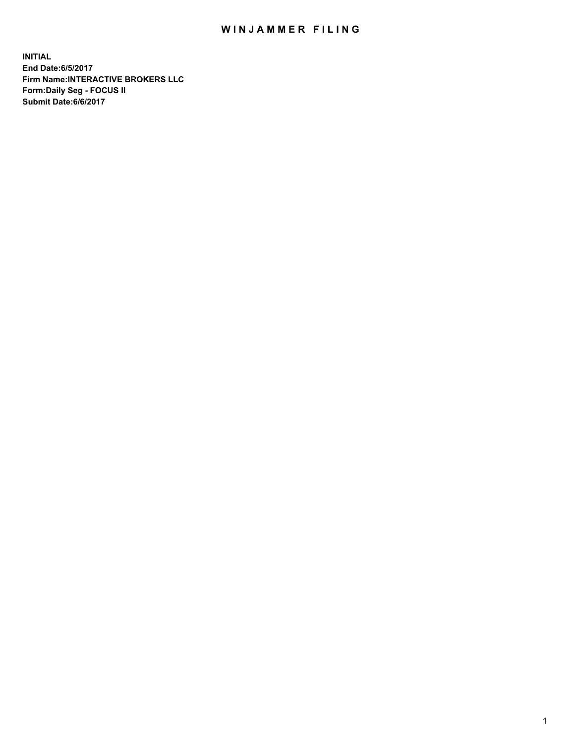## WIN JAMMER FILING

**INITIAL End Date:6/5/2017 Firm Name:INTERACTIVE BROKERS LLC Form:Daily Seg - FOCUS II Submit Date:6/6/2017**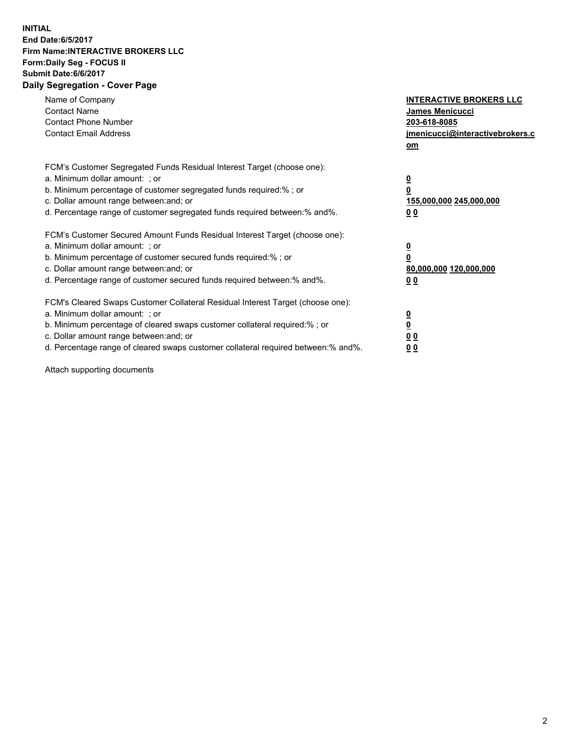## **INITIAL End Date:6/5/2017 Firm Name:INTERACTIVE BROKERS LLC Form:Daily Seg - FOCUS II Submit Date:6/6/2017 Daily Segregation - Cover Page**

| Name of Company<br><b>Contact Name</b><br><b>Contact Phone Number</b><br><b>Contact Email Address</b>                                                                                                                                                                                                                          | <b>INTERACTIVE BROKERS LLC</b><br>James Menicucci<br>203-618-8085<br>jmenicucci@interactivebrokers.c<br>om |
|--------------------------------------------------------------------------------------------------------------------------------------------------------------------------------------------------------------------------------------------------------------------------------------------------------------------------------|------------------------------------------------------------------------------------------------------------|
| FCM's Customer Segregated Funds Residual Interest Target (choose one):<br>a. Minimum dollar amount: ; or<br>b. Minimum percentage of customer segregated funds required:% ; or<br>c. Dollar amount range between: and; or<br>d. Percentage range of customer segregated funds required between:% and%.                         | $\overline{\mathbf{0}}$<br>0<br>155,000,000 245,000,000<br>0 <sub>0</sub>                                  |
| FCM's Customer Secured Amount Funds Residual Interest Target (choose one):<br>a. Minimum dollar amount: ; or<br>b. Minimum percentage of customer secured funds required:%; or<br>c. Dollar amount range between: and; or<br>d. Percentage range of customer secured funds required between: % and %.                          | $\overline{\mathbf{0}}$<br>0<br>80,000,000 120,000,000<br>0 <sub>0</sub>                                   |
| FCM's Cleared Swaps Customer Collateral Residual Interest Target (choose one):<br>a. Minimum dollar amount: ; or<br>b. Minimum percentage of cleared swaps customer collateral required:% ; or<br>c. Dollar amount range between: and; or<br>d. Percentage range of cleared swaps customer collateral required between:% and%. | $\overline{\mathbf{0}}$<br>$\overline{\mathbf{0}}$<br>0 <sub>0</sub><br>0 <sub>0</sub>                     |

Attach supporting documents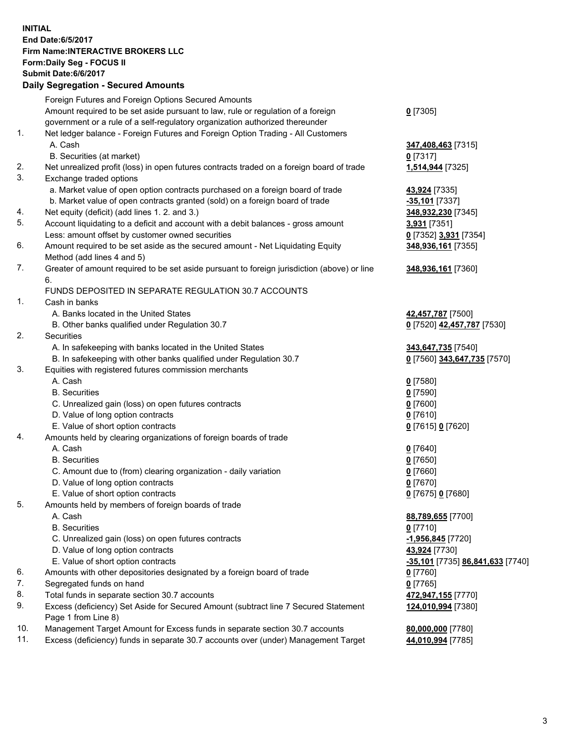## **INITIAL End Date:6/5/2017 Firm Name:INTERACTIVE BROKERS LLC Form:Daily Seg - FOCUS II Submit Date:6/6/2017 Daily Segregation - Secured Amounts**

|     | Foreign Futures and Foreign Options Secured Amounts                                         |                                  |
|-----|---------------------------------------------------------------------------------------------|----------------------------------|
|     | Amount required to be set aside pursuant to law, rule or regulation of a foreign            | $0$ [7305]                       |
|     | government or a rule of a self-regulatory organization authorized thereunder                |                                  |
| 1.  | Net ledger balance - Foreign Futures and Foreign Option Trading - All Customers             |                                  |
|     | A. Cash                                                                                     | 347,408,463 [7315]               |
|     | B. Securities (at market)                                                                   | $0$ [7317]                       |
| 2.  | Net unrealized profit (loss) in open futures contracts traded on a foreign board of trade   | 1,514,944 [7325]                 |
| 3.  | Exchange traded options                                                                     |                                  |
|     | a. Market value of open option contracts purchased on a foreign board of trade              | 43,924 [7335]                    |
|     | b. Market value of open contracts granted (sold) on a foreign board of trade                | -35,101 [7337]                   |
| 4.  | Net equity (deficit) (add lines 1.2. and 3.)                                                | 348,932,230 [7345]               |
| 5.  | Account liquidating to a deficit and account with a debit balances - gross amount           | 3,931 [7351]                     |
|     | Less: amount offset by customer owned securities                                            | 0 [7352] 3,931 [7354]            |
| 6.  | Amount required to be set aside as the secured amount - Net Liquidating Equity              |                                  |
|     | Method (add lines 4 and 5)                                                                  | 348,936,161 [7355]               |
| 7.  | Greater of amount required to be set aside pursuant to foreign jurisdiction (above) or line | 348,936,161 [7360]               |
|     | 6.                                                                                          |                                  |
|     | FUNDS DEPOSITED IN SEPARATE REGULATION 30.7 ACCOUNTS                                        |                                  |
| 1.  | Cash in banks                                                                               |                                  |
|     | A. Banks located in the United States                                                       | 42,457,787 [7500]                |
|     | B. Other banks qualified under Regulation 30.7                                              | 0 [7520] 42,457,787 [7530]       |
| 2.  | Securities                                                                                  |                                  |
|     | A. In safekeeping with banks located in the United States                                   | 343,647,735 [7540]               |
|     | B. In safekeeping with other banks qualified under Regulation 30.7                          | 0 [7560] 343,647,735 [7570]      |
| 3.  | Equities with registered futures commission merchants                                       |                                  |
|     | A. Cash                                                                                     |                                  |
|     | <b>B.</b> Securities                                                                        | $0$ [7580]                       |
|     |                                                                                             | $0$ [7590]                       |
|     | C. Unrealized gain (loss) on open futures contracts                                         | $0$ [7600]                       |
|     | D. Value of long option contracts                                                           | $0$ [7610]                       |
|     | E. Value of short option contracts                                                          | 0 [7615] 0 [7620]                |
| 4.  | Amounts held by clearing organizations of foreign boards of trade                           |                                  |
|     | A. Cash                                                                                     | $0$ [7640]                       |
|     | <b>B.</b> Securities                                                                        | $0$ [7650]                       |
|     | C. Amount due to (from) clearing organization - daily variation                             | $0$ [7660]                       |
|     | D. Value of long option contracts                                                           | $0$ [7670]                       |
|     | E. Value of short option contracts                                                          | 0 [7675] 0 [7680]                |
| 5.  | Amounts held by members of foreign boards of trade                                          |                                  |
|     | A. Cash                                                                                     | 88,789,655 [7700]                |
|     | <b>B.</b> Securities                                                                        | $0$ [7710]                       |
|     | C. Unrealized gain (loss) on open futures contracts                                         | -1,956,845 [7720]                |
|     | D. Value of long option contracts                                                           | 43,924 [7730]                    |
|     | E. Value of short option contracts                                                          | -35,101 [7735] 86,841,633 [7740] |
| 6.  | Amounts with other depositories designated by a foreign board of trade                      | 0 [7760]                         |
| 7.  | Segregated funds on hand                                                                    | $0$ [7765]                       |
| 8.  | Total funds in separate section 30.7 accounts                                               | 472,947,155 [7770]               |
| 9.  | Excess (deficiency) Set Aside for Secured Amount (subtract line 7 Secured Statement         | 124,010,994 [7380]               |
|     | Page 1 from Line 8)                                                                         |                                  |
| 10. | Management Target Amount for Excess funds in separate section 30.7 accounts                 | 80,000,000 [7780]                |
| 11. | Excess (deficiency) funds in separate 30.7 accounts over (under) Management Target          | 44,010,994 [7785]                |
|     |                                                                                             |                                  |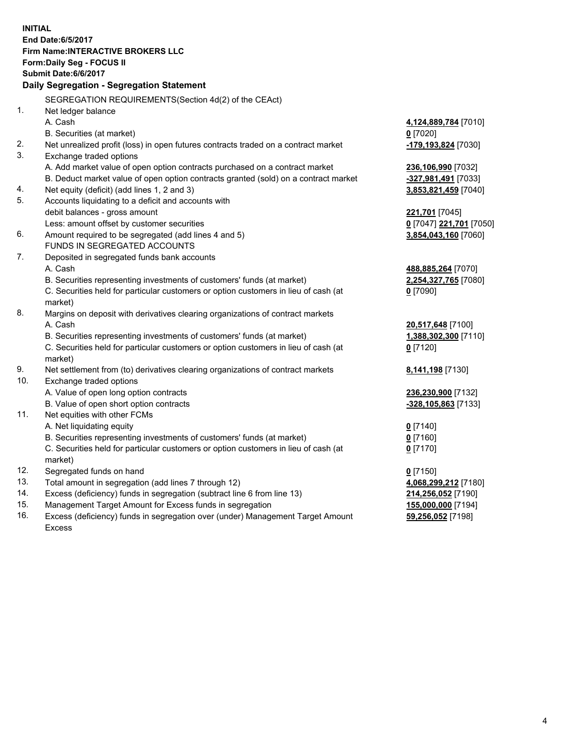**INITIAL End Date:6/5/2017 Firm Name:INTERACTIVE BROKERS LLC Form:Daily Seg - FOCUS II Submit Date:6/6/2017 Daily Segregation - Segregation Statement** SEGREGATION REQUIREMENTS(Section 4d(2) of the CEAct) 1. Net ledger balance A. Cash **4,124,889,784** [7010] B. Securities (at market) **0** [7020] 2. Net unrealized profit (loss) in open futures contracts traded on a contract market **-179,193,824** [7030] 3. Exchange traded options A. Add market value of open option contracts purchased on a contract market **236,106,990** [7032] B. Deduct market value of open option contracts granted (sold) on a contract market **-327,981,491** [7033] 4. Net equity (deficit) (add lines 1, 2 and 3) **3,853,821,459** [7040] 5. Accounts liquidating to a deficit and accounts with debit balances - gross amount **221,701** [7045] Less: amount offset by customer securities **0** [7047] **221,701** [7050] 6. Amount required to be segregated (add lines 4 and 5) **3,854,043,160** [7060] FUNDS IN SEGREGATED ACCOUNTS 7. Deposited in segregated funds bank accounts A. Cash **488,885,264** [7070] B. Securities representing investments of customers' funds (at market) **2,254,327,765** [7080] C. Securities held for particular customers or option customers in lieu of cash (at market) **0** [7090] 8. Margins on deposit with derivatives clearing organizations of contract markets A. Cash **20,517,648** [7100] B. Securities representing investments of customers' funds (at market) **1,388,302,300** [7110] C. Securities held for particular customers or option customers in lieu of cash (at market) **0** [7120] 9. Net settlement from (to) derivatives clearing organizations of contract markets **8,141,198** [7130] 10. Exchange traded options A. Value of open long option contracts **236,230,900** [7132] B. Value of open short option contracts **-328,105,863** [7133] 11. Net equities with other FCMs A. Net liquidating equity **0** [7140] B. Securities representing investments of customers' funds (at market) **0** [7160] C. Securities held for particular customers or option customers in lieu of cash (at market) **0** [7170] 12. Segregated funds on hand **0** [7150] 13. Total amount in segregation (add lines 7 through 12) **4,068,299,212** [7180] 14. Excess (deficiency) funds in segregation (subtract line 6 from line 13) **214,256,052** [7190] 15. Management Target Amount for Excess funds in segregation **155,000,000** [7194]

16. Excess (deficiency) funds in segregation over (under) Management Target Amount Excess

**59,256,052** [7198]